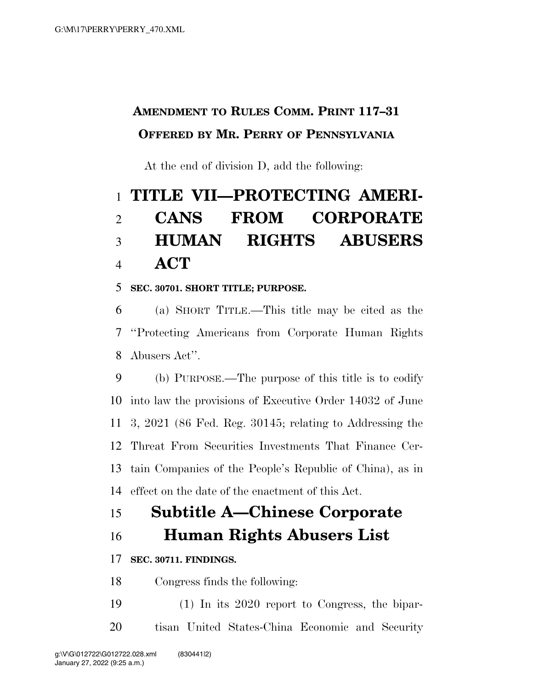# **AMENDMENT TO RULES COMM. PRINT 117–31 OFFERED BY MR. PERRY OF PENNSYLVANIA**

At the end of division D, add the following:

# **TITLE VII—PROTECTING AMERI- CANS FROM CORPORATE HUMAN RIGHTS ABUSERS ACT**

### **SEC. 30701. SHORT TITLE; PURPOSE.**

 (a) SHORT TITLE.—This title may be cited as the ''Protecting Americans from Corporate Human Rights Abusers Act''.

 (b) PURPOSE.—The purpose of this title is to codify into law the provisions of Executive Order 14032 of June 3, 2021 (86 Fed. Reg. 30145; relating to Addressing the Threat From Securities Investments That Finance Cer- tain Companies of the People's Republic of China), as in effect on the date of the enactment of this Act.

# **Subtitle A—Chinese Corporate**

### **Human Rights Abusers List**

### **SEC. 30711. FINDINGS.**

Congress finds the following:

 (1) In its 2020 report to Congress, the bipar-tisan United States-China Economic and Security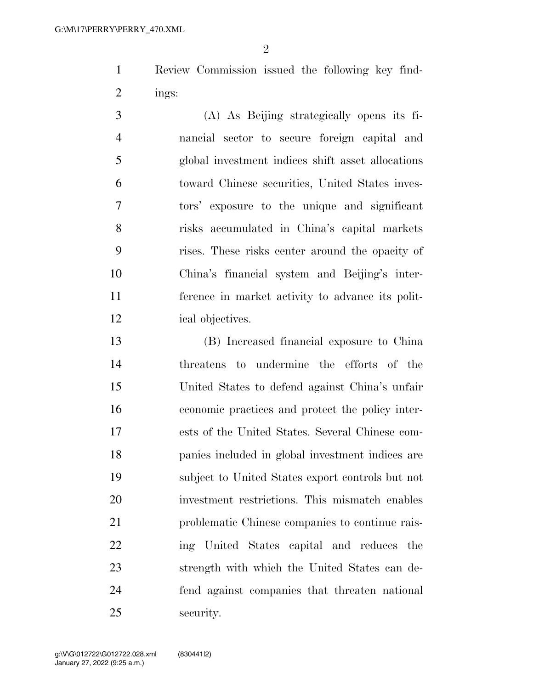$\mathfrak{D}$ 

 Review Commission issued the following key find-ings:

 (A) As Beijing strategically opens its fi- nancial sector to secure foreign capital and global investment indices shift asset allocations toward Chinese securities, United States inves- tors' exposure to the unique and significant risks accumulated in China's capital markets rises. These risks center around the opacity of China's financial system and Beijing's inter- ference in market activity to advance its polit-ical objectives.

 (B) Increased financial exposure to China threatens to undermine the efforts of the United States to defend against China's unfair economic practices and protect the policy inter- ests of the United States. Several Chinese com- panies included in global investment indices are subject to United States export controls but not investment restrictions. This mismatch enables problematic Chinese companies to continue rais- ing United States capital and reduces the strength with which the United States can de- fend against companies that threaten national security.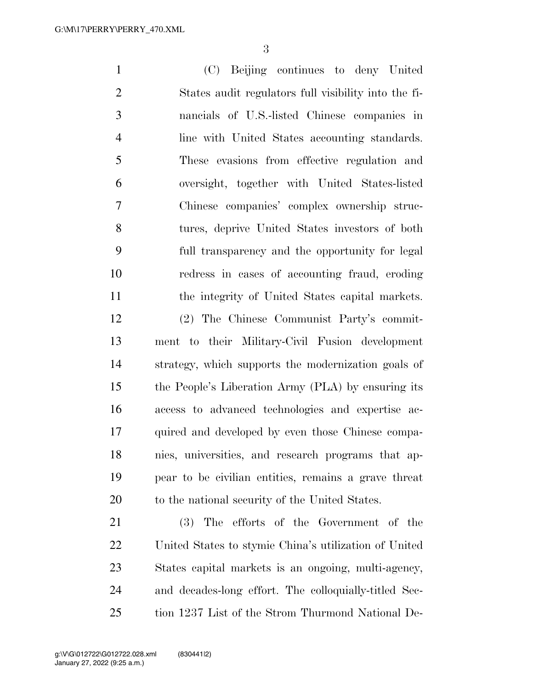(C) Beijing continues to deny United States audit regulators full visibility into the fi- nancials of U.S.-listed Chinese companies in line with United States accounting standards. These evasions from effective regulation and oversight, together with United States-listed Chinese companies' complex ownership struc- tures, deprive United States investors of both full transparency and the opportunity for legal redress in cases of accounting fraud, eroding the integrity of United States capital markets. (2) The Chinese Communist Party's commit- ment to their Military-Civil Fusion development strategy, which supports the modernization goals of the People's Liberation Army (PLA) by ensuring its access to advanced technologies and expertise ac- quired and developed by even those Chinese compa- nies, universities, and research programs that ap- pear to be civilian entities, remains a grave threat 20 to the national security of the United States. (3) The efforts of the Government of the United States to stymie China's utilization of United

 States capital markets is an ongoing, multi-agency, and decades-long effort. The colloquially-titled Sec-tion 1237 List of the Strom Thurmond National De-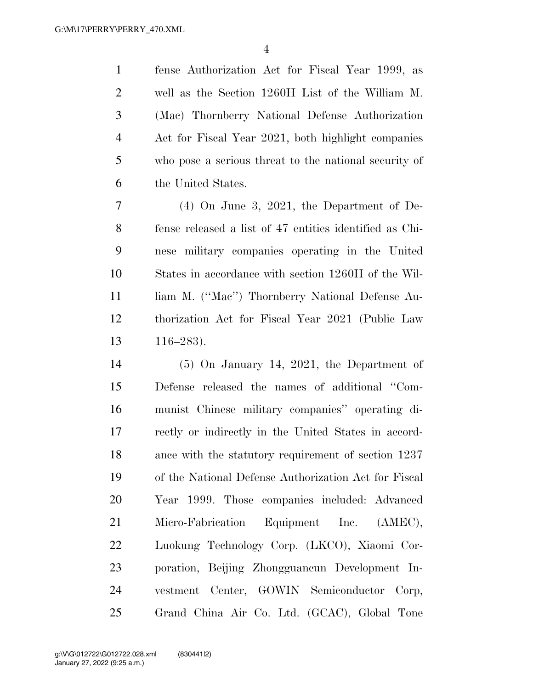fense Authorization Act for Fiscal Year 1999, as well as the Section 1260H List of the William M. (Mac) Thornberry National Defense Authorization Act for Fiscal Year 2021, both highlight companies who pose a serious threat to the national security of the United States.

 (4) On June 3, 2021, the Department of De- fense released a list of 47 entities identified as Chi- nese military companies operating in the United States in accordance with section 1260H of the Wil-11 liam M. ("Mac") Thornberry National Defense Au- thorization Act for Fiscal Year 2021 (Public Law 116–283).

 (5) On January 14, 2021, the Department of Defense released the names of additional ''Com- munist Chinese military companies'' operating di- rectly or indirectly in the United States in accord- ance with the statutory requirement of section 1237 of the National Defense Authorization Act for Fiscal Year 1999. Those companies included: Advanced 21 Micro-Fabrication Equipment Inc. (AMEC), Luokung Technology Corp. (LKCO), Xiaomi Cor- poration, Beijing Zhongguancun Development In- vestment Center, GOWIN Semiconductor Corp, Grand China Air Co. Ltd. (GCAC), Global Tone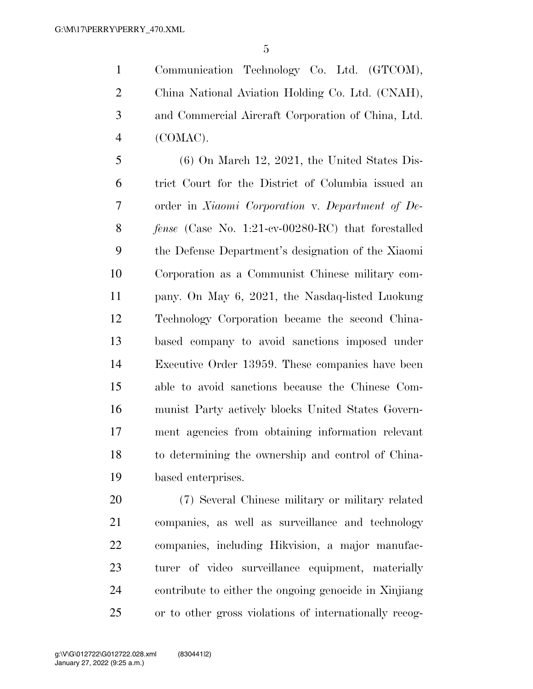Communication Technology Co. Ltd. (GTCOM), China National Aviation Holding Co. Ltd. (CNAH), and Commercial Aircraft Corporation of China, Ltd. (COMAC).

 (6) On March 12, 2021, the United States Dis- trict Court for the District of Columbia issued an order in *Xiaomi Corporation* v. *Department of De- fense* (Case No. 1:21-cv-00280-RC) that forestalled the Defense Department's designation of the Xiaomi Corporation as a Communist Chinese military com- pany. On May 6, 2021, the Nasdaq-listed Luokung Technology Corporation became the second China- based company to avoid sanctions imposed under Executive Order 13959. These companies have been able to avoid sanctions because the Chinese Com- munist Party actively blocks United States Govern- ment agencies from obtaining information relevant to determining the ownership and control of China-based enterprises.

 (7) Several Chinese military or military related companies, as well as surveillance and technology companies, including Hikvision, a major manufac- turer of video surveillance equipment, materially contribute to either the ongoing genocide in Xinjiang or to other gross violations of internationally recog-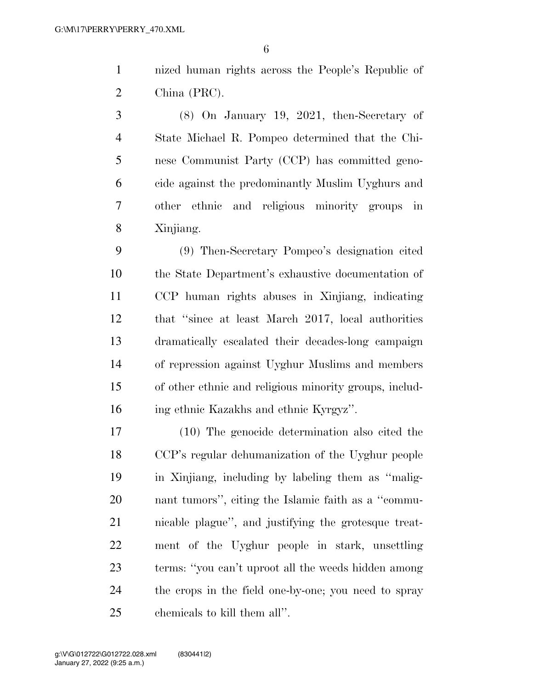nized human rights across the People's Republic of China (PRC).

 (8) On January 19, 2021, then-Secretary of State Michael R. Pompeo determined that the Chi- nese Communist Party (CCP) has committed geno- cide against the predominantly Muslim Uyghurs and other ethnic and religious minority groups in Xinjiang.

 (9) Then-Secretary Pompeo's designation cited the State Department's exhaustive documentation of CCP human rights abuses in Xinjiang, indicating that ''since at least March 2017, local authorities dramatically escalated their decades-long campaign of repression against Uyghur Muslims and members of other ethnic and religious minority groups, includ-ing ethnic Kazakhs and ethnic Kyrgyz''.

 (10) The genocide determination also cited the CCP's regular dehumanization of the Uyghur people in Xinjiang, including by labeling them as ''malig- nant tumors'', citing the Islamic faith as a ''commu- nicable plague'', and justifying the grotesque treat- ment of the Uyghur people in stark, unsettling terms: ''you can't uproot all the weeds hidden among the crops in the field one-by-one; you need to spray chemicals to kill them all''.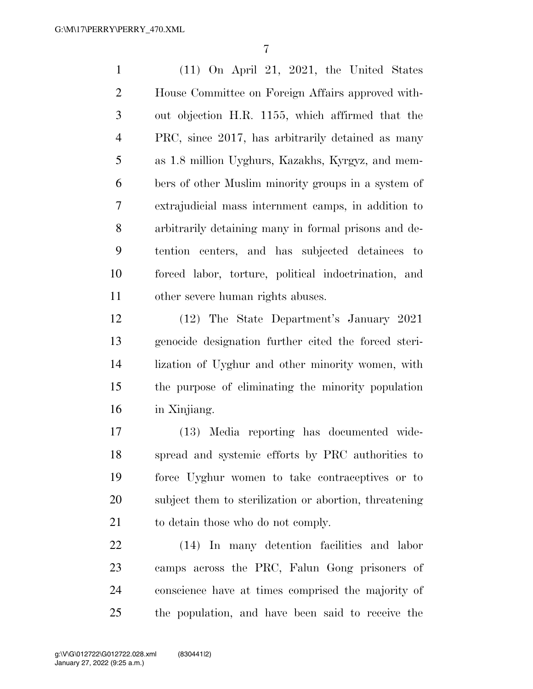(11) On April 21, 2021, the United States House Committee on Foreign Affairs approved with- out objection H.R. 1155, which affirmed that the PRC, since 2017, has arbitrarily detained as many as 1.8 million Uyghurs, Kazakhs, Kyrgyz, and mem- bers of other Muslim minority groups in a system of extrajudicial mass internment camps, in addition to arbitrarily detaining many in formal prisons and de- tention centers, and has subjected detainees to forced labor, torture, political indoctrination, and other severe human rights abuses.

 (12) The State Department's January 2021 genocide designation further cited the forced steri- lization of Uyghur and other minority women, with the purpose of eliminating the minority population in Xinjiang.

 (13) Media reporting has documented wide- spread and systemic efforts by PRC authorities to force Uyghur women to take contraceptives or to subject them to sterilization or abortion, threatening 21 to detain those who do not comply.

 (14) In many detention facilities and labor camps across the PRC, Falun Gong prisoners of conscience have at times comprised the majority of the population, and have been said to receive the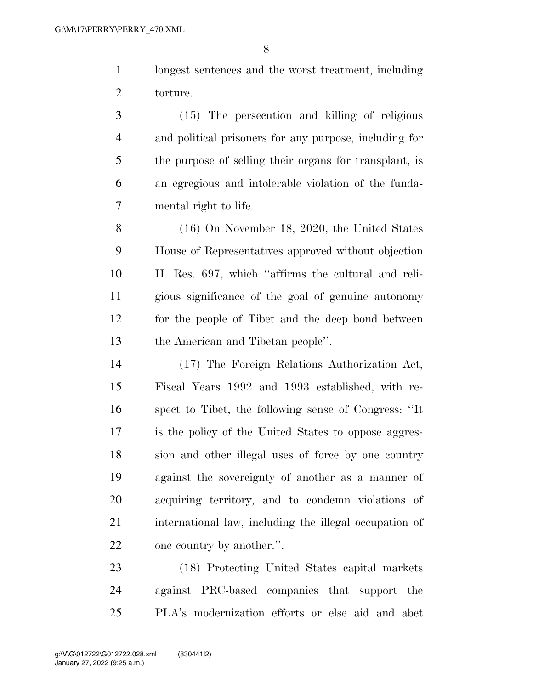longest sentences and the worst treatment, including torture.

 (15) The persecution and killing of religious and political prisoners for any purpose, including for the purpose of selling their organs for transplant, is an egregious and intolerable violation of the funda-mental right to life.

 (16) On November 18, 2020, the United States House of Representatives approved without objection H. Res. 697, which ''affirms the cultural and reli- gious significance of the goal of genuine autonomy for the people of Tibet and the deep bond between the American and Tibetan people''.

 (17) The Foreign Relations Authorization Act, Fiscal Years 1992 and 1993 established, with re- spect to Tibet, the following sense of Congress: ''It is the policy of the United States to oppose aggres- sion and other illegal uses of force by one country against the sovereignty of another as a manner of acquiring territory, and to condemn violations of international law, including the illegal occupation of one country by another.''.

 (18) Protecting United States capital markets against PRC-based companies that support the PLA's modernization efforts or else aid and abet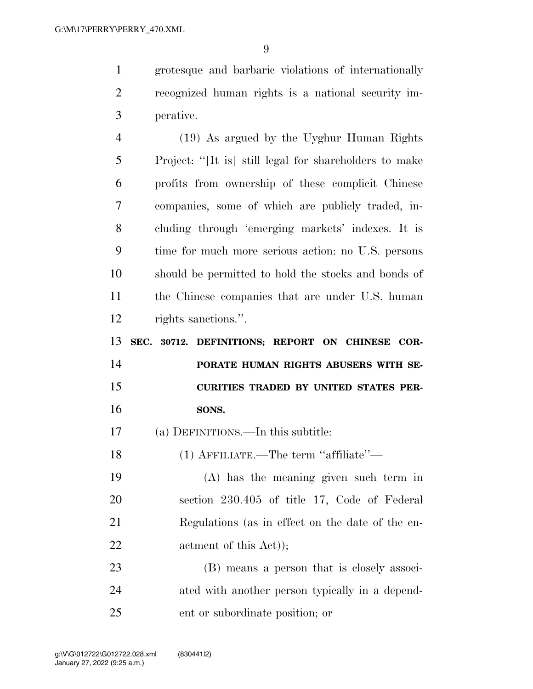grotesque and barbaric violations of internationally recognized human rights is a national security im-perative.

 (19) As argued by the Uyghur Human Rights Project: ''[It is] still legal for shareholders to make profits from ownership of these complicit Chinese companies, some of which are publicly traded, in- cluding through 'emerging markets' indexes. It is time for much more serious action: no U.S. persons should be permitted to hold the stocks and bonds of the Chinese companies that are under U.S. human rights sanctions.''.

 **SEC. 30712. DEFINITIONS; REPORT ON CHINESE COR- PORATE HUMAN RIGHTS ABUSERS WITH SE- CURITIES TRADED BY UNITED STATES PER-SONS.** 

(a) DEFINITIONS.—In this subtitle:

(1) AFFILIATE.—The term ''affiliate''—

 (A) has the meaning given such term in section 230.405 of title 17, Code of Federal Regulations (as in effect on the date of the en-22 actment of this Act));

 (B) means a person that is closely associ- ated with another person typically in a depend-ent or subordinate position; or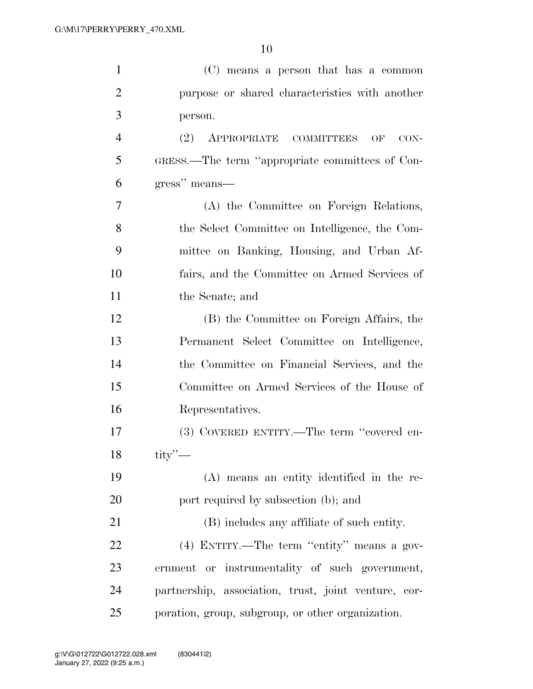| $\mathbf{1}$   | (C) means a person that has a common                 |
|----------------|------------------------------------------------------|
| $\overline{2}$ | purpose or shared characteristics with another       |
| 3              | person.                                              |
| $\overline{4}$ | APPROPRIATE COMMITTEES<br>(2)<br>OF<br>CON-          |
| 5              | GRESS.—The term "appropriate committees of Con-      |
| 6              | gress" means—                                        |
| 7              | (A) the Committee on Foreign Relations,              |
| 8              | the Select Committee on Intelligence, the Com-       |
| 9              | mittee on Banking, Housing, and Urban Af-            |
| 10             | fairs, and the Committee on Armed Services of        |
| 11             | the Senate; and                                      |
| 12             | (B) the Committee on Foreign Affairs, the            |
| 13             | Permanent Select Committee on Intelligence,          |
| 14             | the Committee on Financial Services, and the         |
| 15             | Committee on Armed Services of the House of          |
| 16             | Representatives.                                     |
| 17             | (3) COVERED ENTITY.—The term "covered en-            |
| 18             | $\text{tity}$ $\sim$                                 |
| 19             | (A) means an entity identified in the re-            |
| 20             | port required by subsection (b); and                 |
| 21             | (B) includes any affiliate of such entity.           |
| 22             | (4) ENTITY.—The term "entity" means a gov-           |
| 23             | ernment or instrumentality of such government,       |
| 24             | partnership, association, trust, joint venture, cor- |
| 25             | poration, group, subgroup, or other organization.    |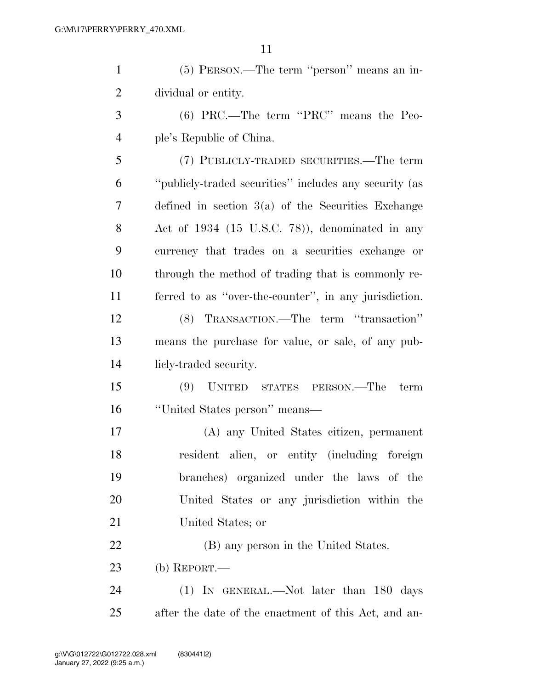(5) PERSON.—The term ''person'' means an in-dividual or entity.

 (6) PRC.—The term ''PRC'' means the Peo-ple's Republic of China.

 (7) PUBLICLY-TRADED SECURITIES.—The term ''publicly-traded securities'' includes any security (as defined in section 3(a) of the Securities Exchange Act of 1934 (15 U.S.C. 78)), denominated in any currency that trades on a securities exchange or through the method of trading that is commonly re- ferred to as ''over-the-counter'', in any jurisdiction. (8) TRANSACTION.—The term ''transaction''

 means the purchase for value, or sale, of any pub-licly-traded security.

 (9) UNITED STATES PERSON.—The term ''United States person'' means—

 (A) any United States citizen, permanent resident alien, or entity (including foreign branches) organized under the laws of the United States or any jurisdiction within the United States; or

(B) any person in the United States.

(b) REPORT.—

 (1) IN GENERAL.—Not later than 180 days after the date of the enactment of this Act, and an-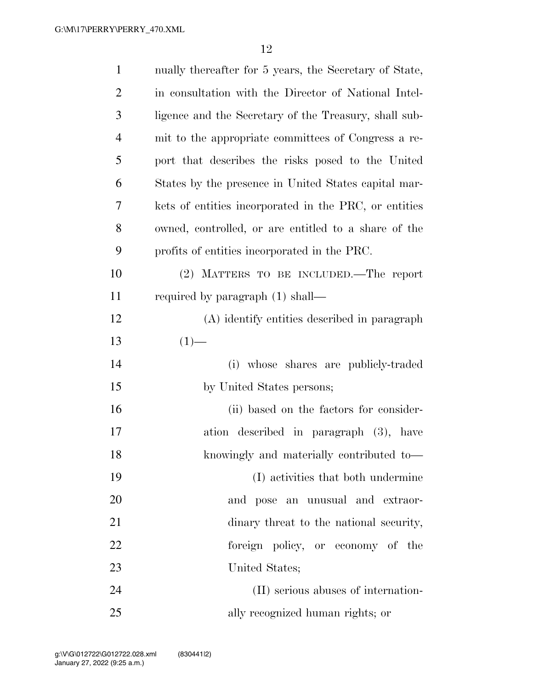| $\mathbf{1}$   | nually thereafter for 5 years, the Secretary of State, |
|----------------|--------------------------------------------------------|
| $\overline{2}$ | in consultation with the Director of National Intel-   |
| 3              | ligence and the Secretary of the Treasury, shall sub-  |
| $\overline{4}$ | mit to the appropriate committees of Congress a re-    |
| 5              | port that describes the risks posed to the United      |
| 6              | States by the presence in United States capital mar-   |
| 7              | kets of entities incorporated in the PRC, or entities  |
| 8              | owned, controlled, or are entitled to a share of the   |
| 9              | profits of entities incorporated in the PRC.           |
| 10             | (2) MATTERS TO BE INCLUDED.—The report                 |
| 11             | required by paragraph $(1)$ shall—                     |
| 12             | (A) identify entities described in paragraph           |
| 13             | $(1)$ —                                                |
| 14             | (i) whose shares are publicly-traded                   |
| 15             | by United States persons;                              |
| 16             | (ii) based on the factors for consider-                |
| 17             | ation described in paragraph (3), have                 |
| 18             | knowingly and materially contributed to-               |
| 19             | (I) activities that both undermine                     |
| 20             | and pose an unusual and extraor-                       |
| 21             | dinary threat to the national security,                |
| 22             | foreign policy, or economy of the                      |
| 23             | United States;                                         |
| 24             | (II) serious abuses of internation-                    |
| 25             | ally recognized human rights; or                       |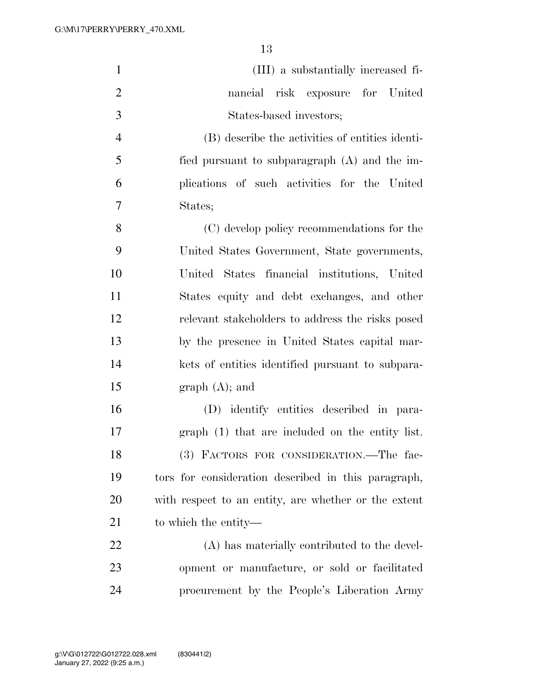| $\mathbf{1}$   | (III) a substantially increased fi-                  |
|----------------|------------------------------------------------------|
| $\overline{2}$ | nancial risk exposure for United                     |
| 3              | States-based investors;                              |
| $\overline{4}$ | (B) describe the activities of entities identi-      |
| 5              | fied pursuant to subparagraph $(A)$ and the im-      |
| 6              | plications of such activities for the United         |
| $\overline{7}$ | States;                                              |
| 8              | (C) develop policy recommendations for the           |
| 9              | United States Government, State governments,         |
| 10             | United States financial institutions, United         |
| 11             | States equity and debt exchanges, and other          |
| 12             | relevant stakeholders to address the risks posed     |
| 13             | by the presence in United States capital mar-        |
| 14             | kets of entities identified pursuant to subpara-     |
| 15             | graph (A); and                                       |
| 16             | (D) identify entities described in para-             |
| 17             | graph (1) that are included on the entity list.      |
| 18             | (3) FACTORS FOR CONSIDERATION. The fac-              |
| 19             | tors for consideration described in this paragraph,  |
| 20             | with respect to an entity, are whether or the extent |
| 21             | to which the entity—                                 |
| 22             | (A) has materially contributed to the devel-         |
| 23             | opment or manufacture, or sold or facilitated        |
| 24             | procurement by the People's Liberation Army          |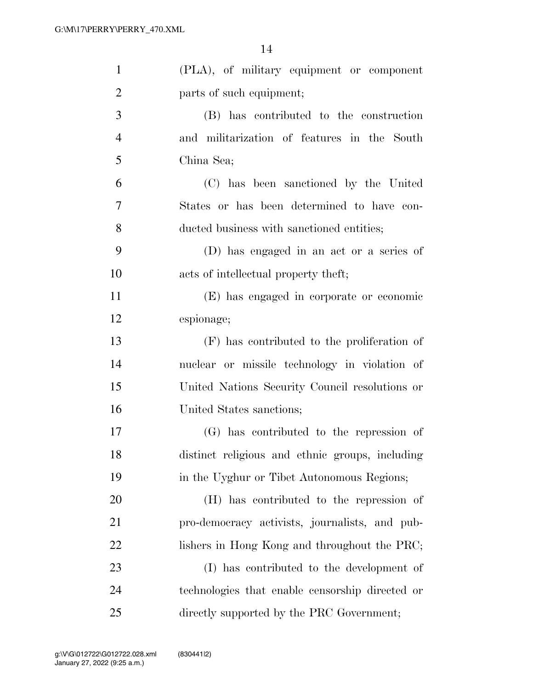| $\mathbf{1}$   | (PLA), of military equipment or component       |
|----------------|-------------------------------------------------|
| $\overline{2}$ | parts of such equipment;                        |
| 3              | (B) has contributed to the construction         |
| $\overline{4}$ | and militarization of features in the South     |
| 5              | China Sea;                                      |
| 6              | (C) has been sanctioned by the United           |
| 7              | States or has been determined to have con-      |
| 8              | ducted business with sanctioned entities;       |
| 9              | (D) has engaged in an act or a series of        |
| 10             | acts of intellectual property theft;            |
| 11             | (E) has engaged in corporate or economic        |
| 12             | espionage;                                      |
| 13             | (F) has contributed to the proliferation of     |
| 14             | nuclear or missile technology in violation of   |
| 15             | United Nations Security Council resolutions or  |
| 16             | United States sanctions;                        |
| 17             | (G) has contributed to the repression of        |
| 18             | distinct religious and ethnic groups, including |
| 19             | in the Uyghur or Tibet Autonomous Regions;      |
| 20             | (H) has contributed to the repression of        |
| 21             | pro-democracy activists, journalists, and pub-  |
| 22             | lishers in Hong Kong and throughout the PRC;    |
| 23             | (I) has contributed to the development of       |
| 24             | technologies that enable censorship directed or |
| 25             | directly supported by the PRC Government;       |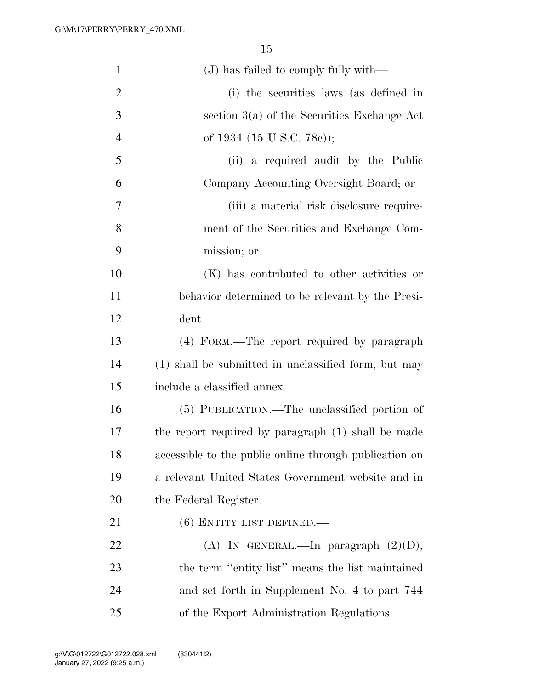| $\mathbf{1}$   | (J) has failed to comply fully with—                   |
|----------------|--------------------------------------------------------|
| $\overline{2}$ | (i) the securities laws (as defined in                 |
| 3              | section $3(a)$ of the Securities Exchange Act          |
| $\overline{4}$ | of 1934 (15 U.S.C. 78c));                              |
| 5              | (ii) a required audit by the Public                    |
| 6              | Company Accounting Oversight Board; or                 |
| 7              | (iii) a material risk disclosure require-              |
| 8              | ment of the Securities and Exchange Com-               |
| 9              | mission; or                                            |
| 10             | (K) has contributed to other activities or             |
| 11             | behavior determined to be relevant by the Presi-       |
| 12             | dent.                                                  |
| 13             | (4) FORM.—The report required by paragraph             |
| 14             | (1) shall be submitted in unclassified form, but may   |
| 15             | include a classified annex.                            |
| 16             | (5) PUBLICATION.—The unclassified portion of           |
| 17             | the report required by paragraph (1) shall be made     |
| 18             | accessible to the public online through publication on |
| 19             | a relevant United States Government website and in     |
| 20             | the Federal Register.                                  |
| 21             | $(6)$ ENTITY LIST DEFINED.—                            |
| 22             | (A) IN GENERAL.—In paragraph $(2)(D)$ ,                |
| 23             | the term "entity list" means the list maintained       |
| 24             | and set forth in Supplement No. 4 to part 744          |
| 25             | of the Export Administration Regulations.              |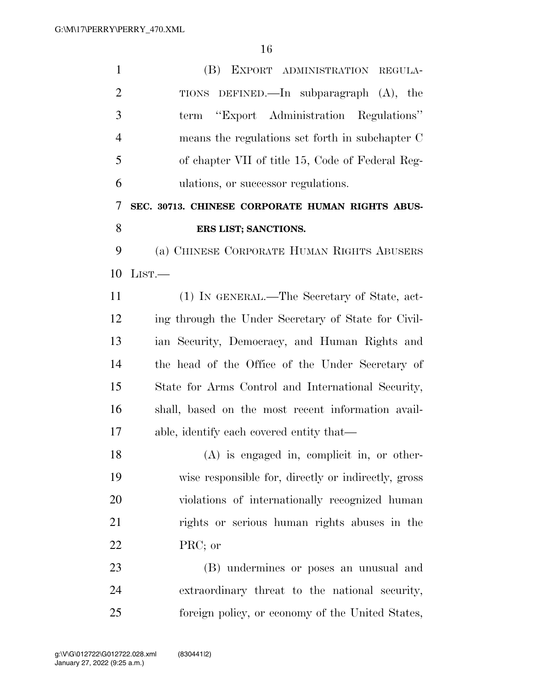| $\mathbf{1}$   | (B) EXPORT ADMINISTRATION REGULA-                   |
|----------------|-----------------------------------------------------|
| $\overline{2}$ | TIONS DEFINED.—In subparagraph $(A)$ , the          |
| 3              | term "Export Administration Regulations"            |
| $\overline{4}$ | means the regulations set forth in subchapter C     |
| 5              | of chapter VII of title 15, Code of Federal Reg-    |
| 6              | ulations, or successor regulations.                 |
| 7              | SEC. 30713. CHINESE CORPORATE HUMAN RIGHTS ABUS-    |
| 8              | ERS LIST; SANCTIONS.                                |
| 9              | (a) CHINESE CORPORATE HUMAN RIGHTS ABUSERS          |
| 10             | LIST.                                               |
| 11             | (1) IN GENERAL.—The Secretary of State, act-        |
| 12             | ing through the Under Secretary of State for Civil- |
| 13             | ian Security, Democracy, and Human Rights and       |
| 14             | the head of the Office of the Under Secretary of    |
| 15             | State for Arms Control and International Security,  |
| 16             | shall, based on the most recent information avail-  |
| 17             | able, identify each covered entity that—            |
| 18             | $(A)$ is engaged in, complicit in, or other-        |
| 19             | wise responsible for, directly or indirectly, gross |
| 20             | violations of internationally recognized human      |
| 21             | rights or serious human rights abuses in the        |
| 22             | PRC; or                                             |
| 23             | (B) undermines or poses an unusual and              |
| 24             | extraordinary threat to the national security,      |
| 25             | foreign policy, or economy of the United States,    |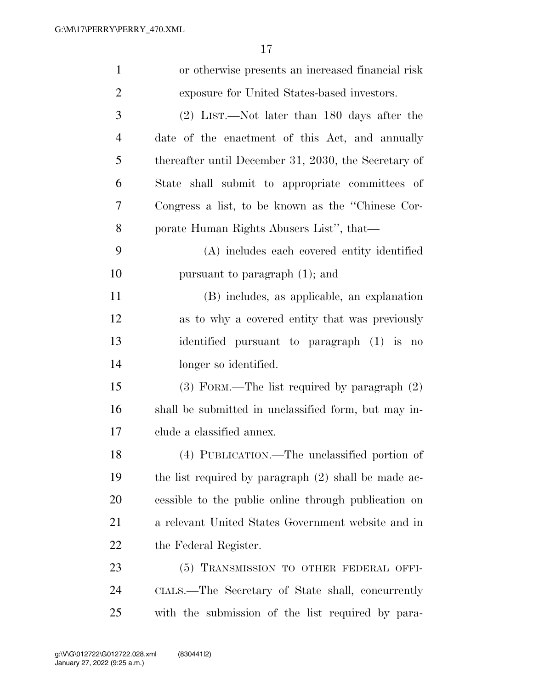| $\mathbf{1}$   | or otherwise presents an increased financial risk      |
|----------------|--------------------------------------------------------|
| $\overline{2}$ | exposure for United States-based investors.            |
| 3              | $(2)$ LIST.—Not later than 180 days after the          |
| $\overline{4}$ | date of the enactment of this Act, and annually        |
| 5              | thereafter until December 31, 2030, the Secretary of   |
| 6              | State shall submit to appropriate committees of        |
| 7              | Congress a list, to be known as the "Chinese Cor-      |
| 8              | porate Human Rights Abusers List", that—               |
| 9              | (A) includes each covered entity identified            |
| 10             | pursuant to paragraph $(1)$ ; and                      |
| 11             | (B) includes, as applicable, an explanation            |
| 12             | as to why a covered entity that was previously         |
| 13             | identified pursuant to paragraph (1) is no             |
| 14             | longer so identified.                                  |
| 15             | $(3)$ FORM.—The list required by paragraph $(2)$       |
| 16             | shall be submitted in unclassified form, but may in-   |
| 17             | clude a classified annex.                              |
| 18             | (4) PUBLICATION.—The unclassified portion of           |
| 19             | the list required by paragraph $(2)$ shall be made ac- |
| 20             | essible to the public online through publication on    |
| 21             | a relevant United States Government website and in     |
| 22             | the Federal Register.                                  |
| 23             | (5) TRANSMISSION TO OTHER FEDERAL OFFI-                |
| 24             | CIALS.—The Secretary of State shall, concurrently      |
| 25             | with the submission of the list required by para-      |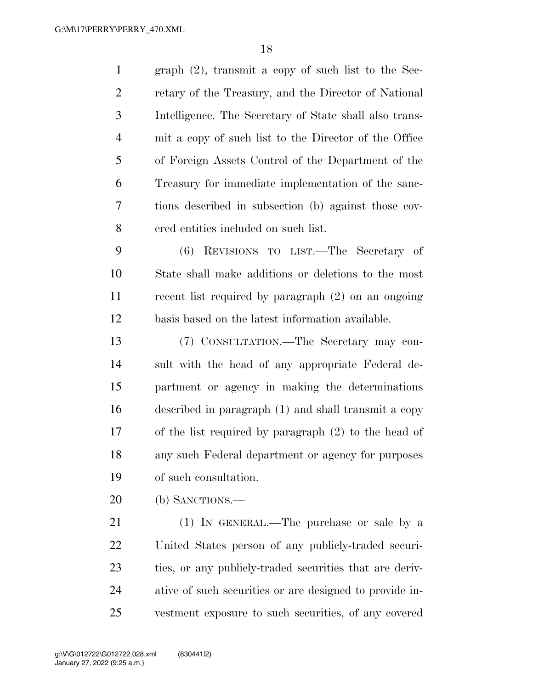| $\mathbf{1}$   | graph $(2)$ , transmit a copy of such list to the Sec-  |
|----------------|---------------------------------------------------------|
| $\overline{2}$ | retary of the Treasury, and the Director of National    |
| 3              | Intelligence. The Secretary of State shall also trans-  |
| $\overline{4}$ | mit a copy of such list to the Director of the Office   |
| 5              | of Foreign Assets Control of the Department of the      |
| 6              | Treasury for immediate implementation of the sanc-      |
| 7              | tions described in subsection (b) against those cov-    |
| 8              | ered entities included on such list.                    |
| 9              | REVISIONS TO LIST.—The Secretary of<br>(6)              |
| 10             | State shall make additions or deletions to the most     |
| 11             | recent list required by paragraph (2) on an ongoing     |
| 12             | basis based on the latest information available.        |
| 13             | (7) CONSULTATION.—The Secretary may con-                |
| 14             | sult with the head of any appropriate Federal de-       |
| 15             | partment or agency in making the determinations         |
| 16             | described in paragraph (1) and shall transmit a copy    |
| 17             | of the list required by paragraph $(2)$ to the head of  |
| 18             | any such Federal department or agency for purposes      |
| 19             | of such consultation.                                   |
| 20             | (b) SANCTIONS.-                                         |
| 21             | (1) IN GENERAL.—The purchase or sale by a               |
| 22             | United States person of any publicly-traded securi-     |
| 23             |                                                         |
|                | ties, or any publicly-traded securities that are deriv- |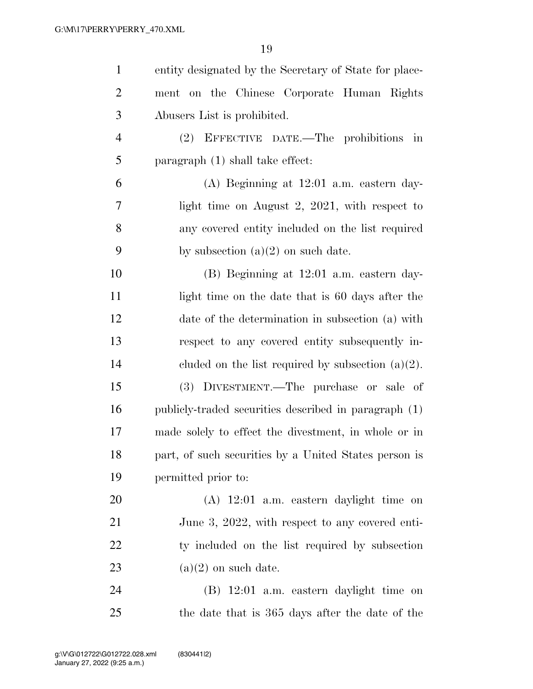| $\mathbf{1}$   | entity designated by the Secretary of State for place- |
|----------------|--------------------------------------------------------|
| $\overline{2}$ | ment on the Chinese Corporate Human Rights             |
| 3              | Abusers List is prohibited.                            |
| $\overline{4}$ | (2) EFFECTIVE DATE.—The prohibitions in                |
| 5              | paragraph (1) shall take effect:                       |
| 6              | $(A)$ Beginning at 12:01 a.m. eastern day-             |
| 7              | light time on August 2, $2021$ , with respect to       |
| 8              | any covered entity included on the list required       |
| 9              | by subsection $(a)(2)$ on such date.                   |
| 10             | $(B)$ Beginning at 12:01 a.m. eastern day-             |
| 11             | light time on the date that is 60 days after the       |
| 12             | date of the determination in subsection (a) with       |
| 13             | respect to any covered entity subsequently in-         |
| 14             | cluded on the list required by subsection $(a)(2)$ .   |
| 15             | (3) DIVESTMENT.—The purchase or sale of                |
| 16             | publicly-traded securities described in paragraph (1)  |
| 17             | made solely to effect the divestment, in whole or in   |
| 18             | part, of such securities by a United States person is  |
| 19             | permitted prior to:                                    |
| 20             | $(A)$ 12:01 a.m. eastern daylight time on              |
| 21             | June 3, 2022, with respect to any covered enti-        |
| 22             | ty included on the list required by subsection         |
| 23             | $(a)(2)$ on such date.                                 |
| 24             | (B) 12:01 a.m. eastern daylight time on                |
| 25             | the date that is 365 days after the date of the        |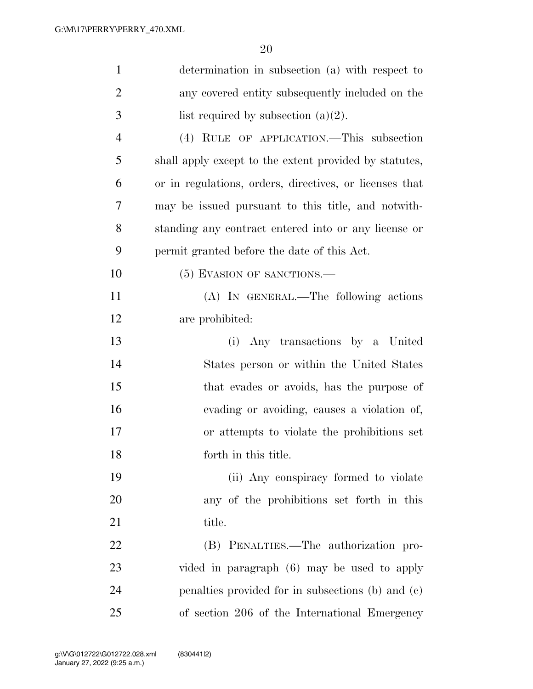| $\mathbf{1}$   | determination in subsection (a) with respect to         |
|----------------|---------------------------------------------------------|
| $\overline{2}$ | any covered entity subsequently included on the         |
| 3              | list required by subsection $(a)(2)$ .                  |
| $\overline{4}$ | (4) RULE OF APPLICATION.—This subsection                |
| 5              | shall apply except to the extent provided by statutes,  |
| 6              | or in regulations, orders, directives, or licenses that |
| 7              | may be issued pursuant to this title, and notwith-      |
| 8              | standing any contract entered into or any license or    |
| 9              | permit granted before the date of this Act.             |
| 10             | (5) EVASION OF SANCTIONS.                               |
| 11             | (A) IN GENERAL.—The following actions                   |
| 12             | are prohibited:                                         |
| 13             | (i) Any transactions by a United                        |
| 14             | States person or within the United States               |
| 15             | that evades or avoids, has the purpose of               |
| 16             | evading or avoiding, causes a violation of,             |
| 17             | or attempts to violate the prohibitions set             |
| 18             | forth in this title.                                    |
| 19             | (ii) Any conspiracy formed to violate                   |
| 20             | any of the prohibitions set forth in this               |
| 21             | title.                                                  |
| 22             | (B) PENALTIES.—The authorization pro-                   |
| 23             | vided in paragraph (6) may be used to apply             |
| 24             | penalties provided for in subsections (b) and (c)       |
| 25             | of section 206 of the International Emergency           |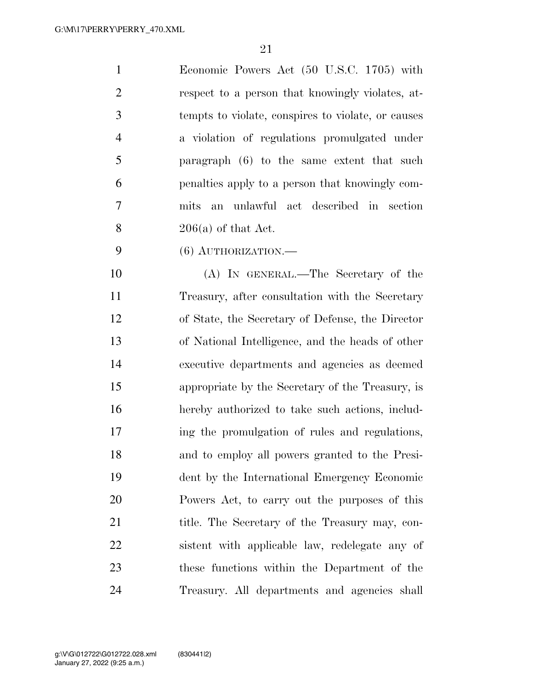Economic Powers Act (50 U.S.C. 1705) with respect to a person that knowingly violates, at- tempts to violate, conspires to violate, or causes a violation of regulations promulgated under paragraph (6) to the same extent that such penalties apply to a person that knowingly com- mits an unlawful act described in section  $206(a)$  of that Act.

(6) AUTHORIZATION.—

 (A) IN GENERAL.—The Secretary of the Treasury, after consultation with the Secretary of State, the Secretary of Defense, the Director of National Intelligence, and the heads of other executive departments and agencies as deemed appropriate by the Secretary of the Treasury, is hereby authorized to take such actions, includ- ing the promulgation of rules and regulations, and to employ all powers granted to the Presi- dent by the International Emergency Economic Powers Act, to carry out the purposes of this 21 title. The Secretary of the Treasury may, con- sistent with applicable law, redelegate any of these functions within the Department of the Treasury. All departments and agencies shall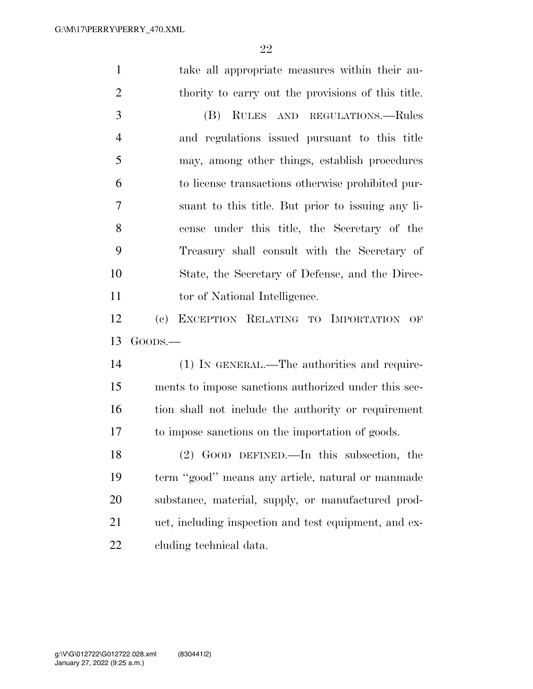take all appropriate measures within their au- thority to carry out the provisions of this title. (B) RULES AND REGULATIONS.—Rules and regulations issued pursuant to this title may, among other things, establish procedures to license transactions otherwise prohibited pur- suant to this title. But prior to issuing any li- cense under this title, the Secretary of the Treasury shall consult with the Secretary of State, the Secretary of Defense, and the Direc-11 tor of National Intelligence. (c) EXCEPTION RELATING TO IMPORTATION OF GOODS.— (1) IN GENERAL.—The authorities and require- ments to impose sanctions authorized under this sec- tion shall not include the authority or requirement to impose sanctions on the importation of goods. (2) GOOD DEFINED.—In this subsection, the term ''good'' means any article, natural or manmade substance, material, supply, or manufactured prod- uct, including inspection and test equipment, and ex-cluding technical data.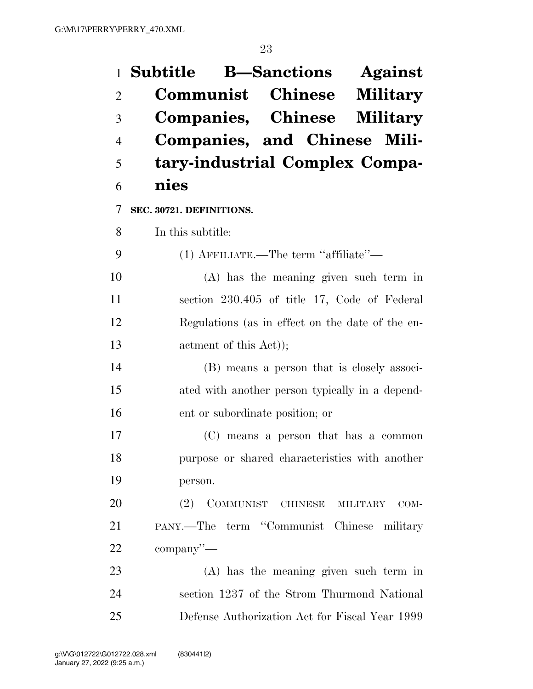|                | 1 Subtitle B—Sanctions Against                   |
|----------------|--------------------------------------------------|
| $\overline{2}$ | <b>Communist Chinese Military</b>                |
| 3              | Companies, Chinese Military                      |
| 4              | Companies, and Chinese Mili-                     |
| 5              | tary-industrial Complex Compa-                   |
| 6              | nies                                             |
| 7              | SEC. 30721. DEFINITIONS.                         |
| 8              | In this subtitle:                                |
| 9              | (1) AFFILIATE.—The term "affiliate"—             |
| 10             | $(A)$ has the meaning given such term in         |
| 11             | section 230.405 of title 17, Code of Federal     |
| 12             | Regulations (as in effect on the date of the en- |
| 13             | actment of this Act));                           |
| 14             | (B) means a person that is closely associ-       |
| 15             | ated with another person typically in a depend-  |
| 16             | ent or subordinate position; or                  |
| 17             | (C) means a person that has a common             |
| 18             | purpose or shared characteristics with another   |
| 19             | person.                                          |
| 20             | (2) COMMUNIST CHINESE MILITARY<br>COM-           |
| 21             | PANY.—The term "Communist Chinese military       |
| 22             | $\mathop{\rm company}''$ —                       |
| 23             | (A) has the meaning given such term in           |
| 24             | section 1237 of the Strom Thurmond National      |
| 25             | Defense Authorization Act for Fiscal Year 1999   |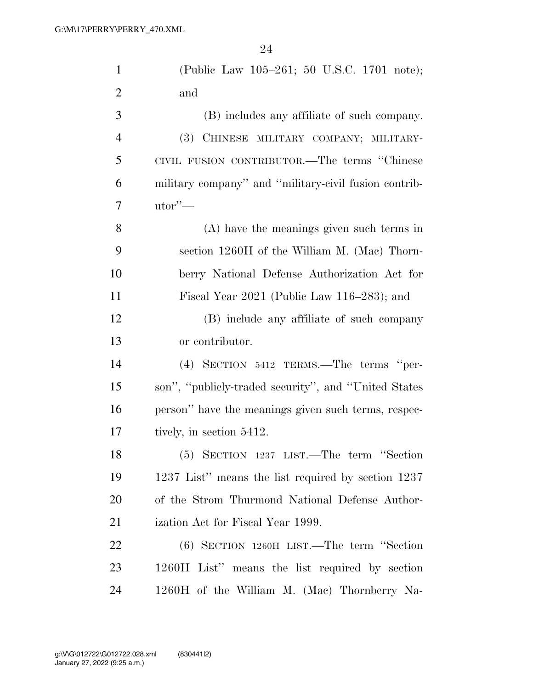| $\mathbf{1}$   | (Public Law 105-261; 50 U.S.C. 1701 note);            |
|----------------|-------------------------------------------------------|
| $\overline{2}$ | and                                                   |
| 3              | (B) includes any affiliate of such company.           |
| $\overline{4}$ | (3) CHINESE MILITARY COMPANY; MILITARY-               |
| 5              | CIVIL FUSION CONTRIBUTOR.—The terms "Chinese          |
| 6              | military company" and "military-civil fusion contrib- |
| 7              | $utor'$ —                                             |
| 8              | $(A)$ have the meanings given such terms in           |
| 9              | section 1260H of the William M. (Mac) Thorn-          |
| 10             | berry National Defense Authorization Act for          |
| 11             | Fiscal Year $2021$ (Public Law 116–283); and          |
| 12             | (B) include any affiliate of such company             |
| 13             | or contributor.                                       |
| 14             | (4) SECTION 5412 TERMS.—The terms "per-               |
| 15             | son", "publicly-traded security", and "United States" |
| 16             | person" have the meanings given such terms, respec-   |
| 17             | tively, in section 5412.                              |
| 18             | (5) SECTION 1237 LIST.—The term "Section              |
| 19             | 1237 List" means the list required by section 1237    |
| 20             | of the Strom Thurmond National Defense Author-        |
| 21             | ization Act for Fiscal Year 1999.                     |
| <u>22</u>      | $(6)$ SECTION 1260H LIST.—The term "Section"          |
| 23             | 1260H List" means the list required by section        |
| 24             | 1260H of the William M. (Mac) Thornberry Na-          |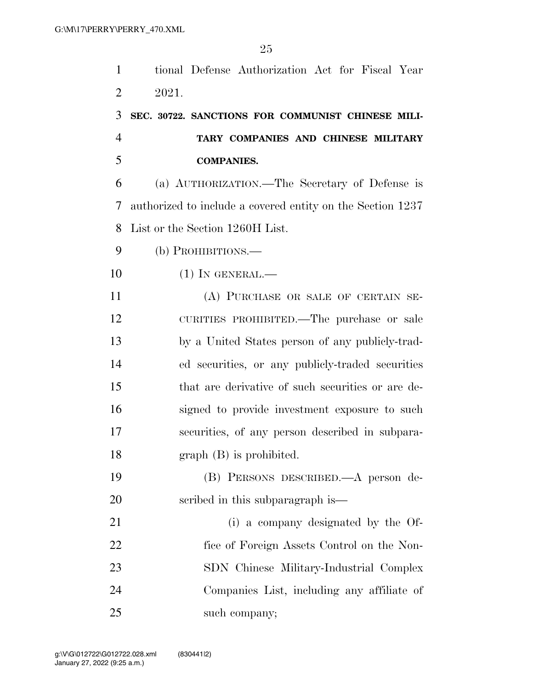| $\mathbf{1}$   | tional Defense Authorization Act for Fiscal Year           |
|----------------|------------------------------------------------------------|
| $\overline{2}$ | 2021.                                                      |
| 3              | SEC. 30722. SANCTIONS FOR COMMUNIST CHINESE MILI-          |
| $\overline{4}$ | TARY COMPANIES AND CHINESE MILITARY                        |
| 5              | <b>COMPANIES.</b>                                          |
| 6              | (a) AUTHORIZATION.—The Secretary of Defense is             |
| 7              | authorized to include a covered entity on the Section 1237 |
| 8              | List or the Section 1260H List.                            |
| 9              | (b) PROHIBITIONS.—                                         |
| 10             | $(1)$ In GENERAL.—                                         |
| 11             | (A) PURCHASE OR SALE OF CERTAIN SE-                        |
| 12             | CURITIES PROHIBITED.—The purchase or sale                  |
| 13             | by a United States person of any publicly-trad-            |
| 14             | ed securities, or any publicly-traded securities           |
| 15             | that are derivative of such securities or are de-          |
| 16             | signed to provide investment exposure to such              |
| 17             | securities, of any person described in subpara-            |
| 18             | $graph(B)$ is prohibited.                                  |
| 19             | (B) PERSONS DESCRIBED.—A person de-                        |
| 20             | scribed in this subparagraph is—                           |
| 21             | (i) a company designated by the Of-                        |
| 22             | fice of Foreign Assets Control on the Non-                 |
| 23             | SDN Chinese Military-Industrial Complex                    |
| 24             | Companies List, including any affiliate of                 |
| 25             | such company;                                              |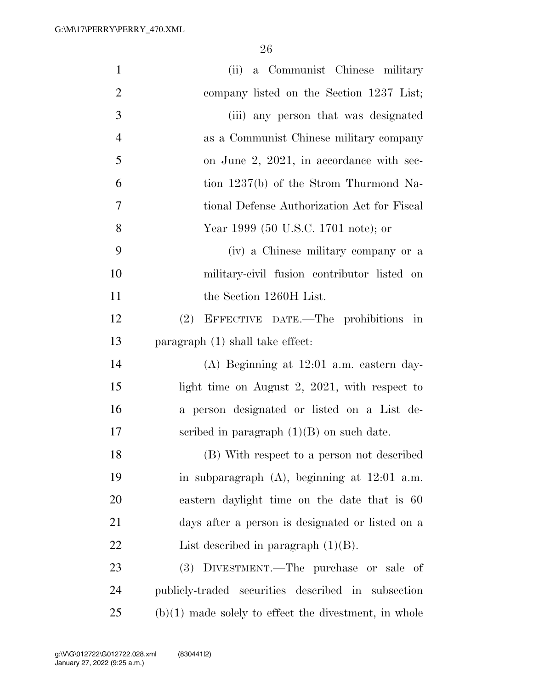| $\mathbf{1}$   | a Communist Chinese military<br>(ii)                    |
|----------------|---------------------------------------------------------|
| $\overline{2}$ | company listed on the Section 1237 List;                |
| 3              | (iii) any person that was designated                    |
| $\overline{4}$ | as a Communist Chinese military company                 |
| 5              | on June 2, 2021, in accordance with sec-                |
| 6              | tion 1237(b) of the Strom Thurmond Na-                  |
| 7              | tional Defense Authorization Act for Fiscal             |
| 8              | Year 1999 (50 U.S.C. 1701 note); or                     |
| 9              | (iv) a Chinese military company or a                    |
| 10             | military-civil fusion contributor listed on             |
| 11             | the Section 1260H List.                                 |
| 12             | (2) EFFECTIVE DATE.—The prohibitions in                 |
| 13             | paragraph (1) shall take effect:                        |
| 14             | $(A)$ Beginning at 12:01 a.m. eastern day-              |
| 15             | light time on August 2, $2021$ , with respect to        |
| 16             | a person designated or listed on a List de-             |
| 17             | scribed in paragraph $(1)(B)$ on such date.             |
| 18             | (B) With respect to a person not described              |
| 19             | in subparagraph $(A)$ , beginning at $12:01$ a.m.       |
| 20             | eastern daylight time on the date that is 60            |
| 21             | days after a person is designated or listed on a        |
| 22             | List described in paragraph $(1)(B)$ .                  |
| 23             | (3) DIVESTMENT.—The purchase or sale of                 |
| 24             | publicly-traded securities described in subsection      |
| 25             | $(b)(1)$ made solely to effect the divestment, in whole |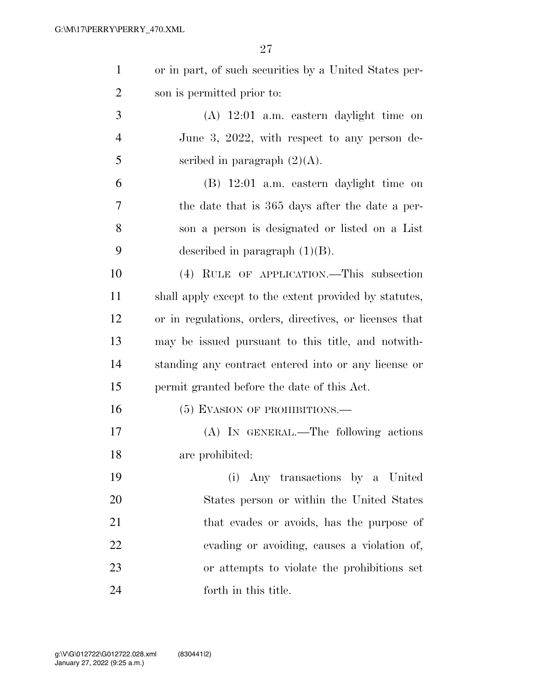| $\mathbf{1}$   | or in part, of such securities by a United States per-  |
|----------------|---------------------------------------------------------|
| $\overline{2}$ | son is permitted prior to:                              |
| 3              | $(A)$ 12:01 a.m. eastern daylight time on               |
| $\overline{4}$ | June 3, 2022, with respect to any person de-            |
| 5              | scribed in paragraph $(2)(A)$ .                         |
| 6              | $(B)$ 12:01 a.m. eastern daylight time on               |
| 7              | the date that is 365 days after the date a per-         |
| 8              | son a person is designated or listed on a List          |
| 9              | described in paragraph $(1)(B)$ .                       |
| 10             | (4) RULE OF APPLICATION.—This subsection                |
| <sup>11</sup>  | shall apply except to the extent provided by statutes,  |
| 12             | or in regulations, orders, directives, or licenses that |
| 13             | may be issued pursuant to this title, and notwith-      |
| 14             | standing any contract entered into or any license or    |
| 15             | permit granted before the date of this Act.             |
| 16             | (5) EVASION OF PROHIBITIONS.—                           |
| 17             | (A) IN GENERAL.—The following actions                   |
| 18             | are prohibited:                                         |
| 19             | (i) Any transactions by a United                        |
| 20             | States person or within the United States               |
| 21             | that evades or avoids, has the purpose of               |
| 22             | evading or avoiding, causes a violation of,             |
| 23             | or attempts to violate the prohibitions set             |
| 24             | forth in this title.                                    |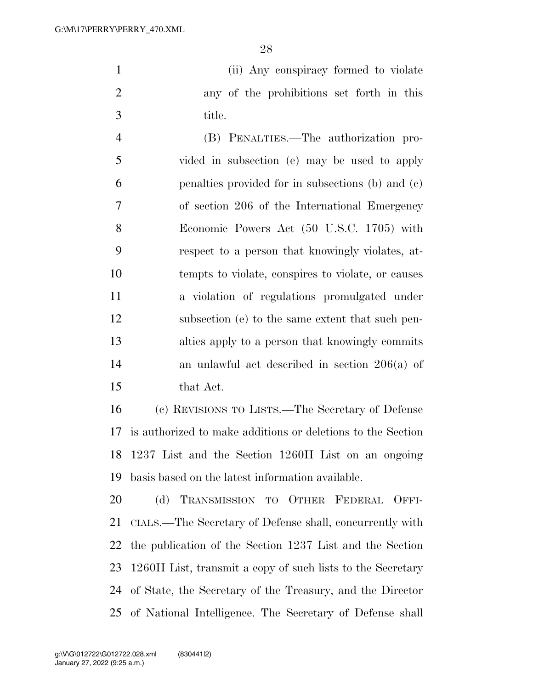(ii) Any conspiracy formed to violate any of the prohibitions set forth in this title.

 (B) PENALTIES.—The authorization pro- vided in subsection (e) may be used to apply penalties provided for in subsections (b) and (c) of section 206 of the International Emergency Economic Powers Act (50 U.S.C. 1705) with respect to a person that knowingly violates, at- tempts to violate, conspires to violate, or causes a violation of regulations promulgated under subsection (e) to the same extent that such pen- alties apply to a person that knowingly commits an unlawful act described in section 206(a) of that Act.

 (c) REVISIONS TO LISTS.—The Secretary of Defense is authorized to make additions or deletions to the Section 1237 List and the Section 1260H List on an ongoing basis based on the latest information available.

 (d) TRANSMISSION TO OTHER FEDERAL OFFI- CIALS.—The Secretary of Defense shall, concurrently with the publication of the Section 1237 List and the Section 1260H List, transmit a copy of such lists to the Secretary of State, the Secretary of the Treasury, and the Director of National Intelligence. The Secretary of Defense shall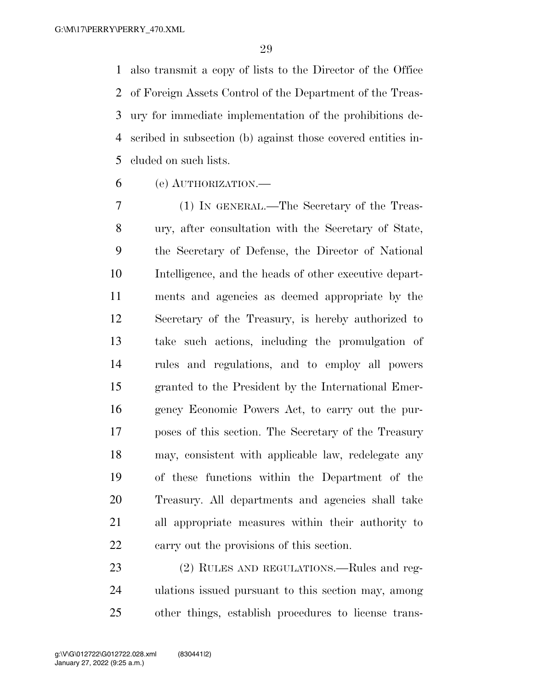also transmit a copy of lists to the Director of the Office of Foreign Assets Control of the Department of the Treas- ury for immediate implementation of the prohibitions de- scribed in subsection (b) against those covered entities in-cluded on such lists.

(e) AUTHORIZATION.—

 (1) IN GENERAL.—The Secretary of the Treas- ury, after consultation with the Secretary of State, the Secretary of Defense, the Director of National Intelligence, and the heads of other executive depart- ments and agencies as deemed appropriate by the Secretary of the Treasury, is hereby authorized to take such actions, including the promulgation of rules and regulations, and to employ all powers granted to the President by the International Emer- gency Economic Powers Act, to carry out the pur- poses of this section. The Secretary of the Treasury may, consistent with applicable law, redelegate any of these functions within the Department of the Treasury. All departments and agencies shall take all appropriate measures within their authority to carry out the provisions of this section.

 (2) RULES AND REGULATIONS.—Rules and reg- ulations issued pursuant to this section may, among other things, establish procedures to license trans-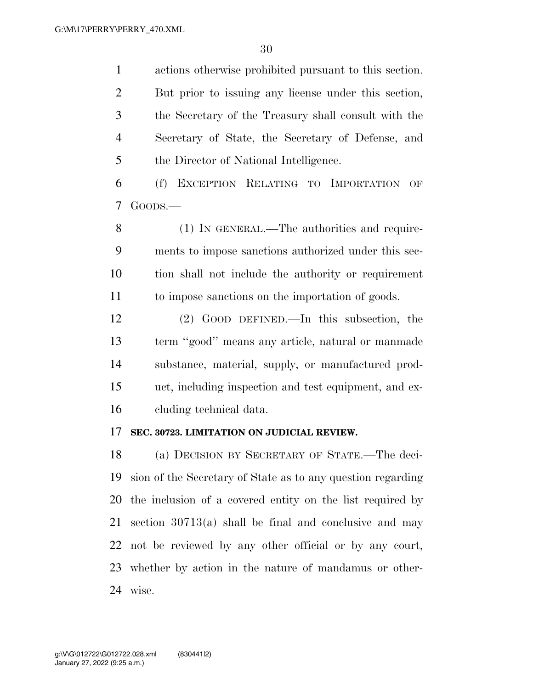actions otherwise prohibited pursuant to this section. But prior to issuing any license under this section, the Secretary of the Treasury shall consult with the Secretary of State, the Secretary of Defense, and the Director of National Intelligence.

 (f) EXCEPTION RELATING TO IMPORTATION OF GOODS.—

 (1) IN GENERAL.—The authorities and require- ments to impose sanctions authorized under this sec- tion shall not include the authority or requirement to impose sanctions on the importation of goods.

 (2) GOOD DEFINED.—In this subsection, the term ''good'' means any article, natural or manmade substance, material, supply, or manufactured prod- uct, including inspection and test equipment, and ex-cluding technical data.

#### **SEC. 30723. LIMITATION ON JUDICIAL REVIEW.**

 (a) DECISION BY SECRETARY OF STATE.—The deci- sion of the Secretary of State as to any question regarding the inclusion of a covered entity on the list required by section 30713(a) shall be final and conclusive and may not be reviewed by any other official or by any court, whether by action in the nature of mandamus or other-wise.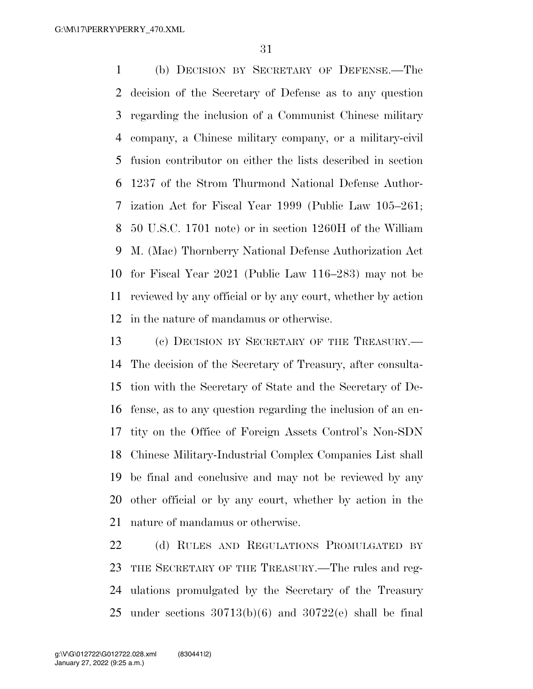(b) DECISION BY SECRETARY OF DEFENSE.—The decision of the Secretary of Defense as to any question regarding the inclusion of a Communist Chinese military company, a Chinese military company, or a military-civil fusion contributor on either the lists described in section 1237 of the Strom Thurmond National Defense Author- ization Act for Fiscal Year 1999 (Public Law 105–261; 50 U.S.C. 1701 note) or in section 1260H of the William M. (Mac) Thornberry National Defense Authorization Act for Fiscal Year 2021 (Public Law 116–283) may not be reviewed by any official or by any court, whether by action in the nature of mandamus or otherwise.

 (c) DECISION BY SECRETARY OF THE TREASURY.— The decision of the Secretary of Treasury, after consulta- tion with the Secretary of State and the Secretary of De- fense, as to any question regarding the inclusion of an en- tity on the Office of Foreign Assets Control's Non-SDN Chinese Military-Industrial Complex Companies List shall be final and conclusive and may not be reviewed by any other official or by any court, whether by action in the nature of mandamus or otherwise.

22 (d) RULES AND REGULATIONS PROMULGATED BY THE SECRETARY OF THE TREASURY.—The rules and reg- ulations promulgated by the Secretary of the Treasury 25 under sections  $30713(b)(6)$  and  $30722(e)$  shall be final